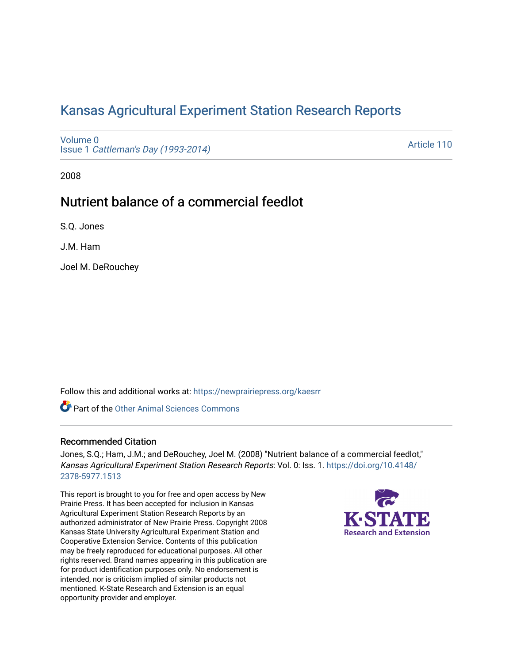# [Kansas Agricultural Experiment Station Research Reports](https://newprairiepress.org/kaesrr)

[Volume 0](https://newprairiepress.org/kaesrr/vol0) Issue 1 [Cattleman's Day \(1993-2014\)](https://newprairiepress.org/kaesrr/vol0/iss1) 

[Article 110](https://newprairiepress.org/kaesrr/vol0/iss1/110) 

2008

# Nutrient balance of a commercial feedlot

S.Q. Jones

J.M. Ham

Joel M. DeRouchey

Follow this and additional works at: [https://newprairiepress.org/kaesrr](https://newprairiepress.org/kaesrr?utm_source=newprairiepress.org%2Fkaesrr%2Fvol0%2Fiss1%2F110&utm_medium=PDF&utm_campaign=PDFCoverPages) 

Part of the [Other Animal Sciences Commons](http://network.bepress.com/hgg/discipline/82?utm_source=newprairiepress.org%2Fkaesrr%2Fvol0%2Fiss1%2F110&utm_medium=PDF&utm_campaign=PDFCoverPages)

### Recommended Citation

Jones, S.Q.; Ham, J.M.; and DeRouchey, Joel M. (2008) "Nutrient balance of a commercial feedlot," Kansas Agricultural Experiment Station Research Reports: Vol. 0: Iss. 1. [https://doi.org/10.4148/](https://doi.org/10.4148/2378-5977.1513) [2378-5977.1513](https://doi.org/10.4148/2378-5977.1513) 

This report is brought to you for free and open access by New Prairie Press. It has been accepted for inclusion in Kansas Agricultural Experiment Station Research Reports by an authorized administrator of New Prairie Press. Copyright 2008 Kansas State University Agricultural Experiment Station and Cooperative Extension Service. Contents of this publication may be freely reproduced for educational purposes. All other rights reserved. Brand names appearing in this publication are for product identification purposes only. No endorsement is intended, nor is criticism implied of similar products not mentioned. K-State Research and Extension is an equal opportunity provider and employer.

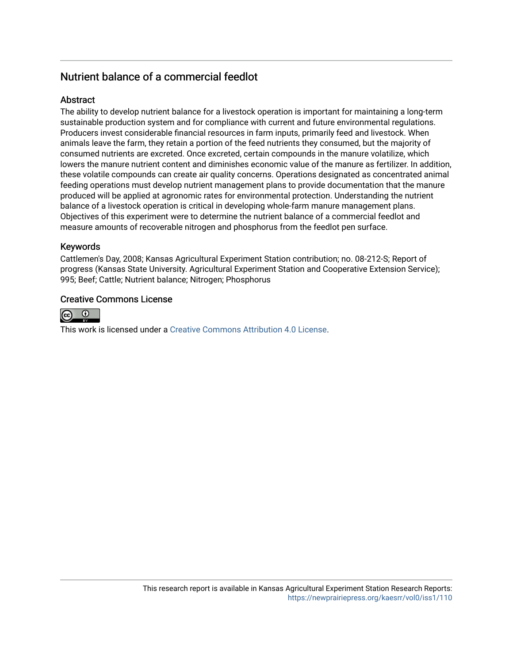## Nutrient balance of a commercial feedlot

### Abstract

The ability to develop nutrient balance for a livestock operation is important for maintaining a long-term sustainable production system and for compliance with current and future environmental regulations. Producers invest considerable financial resources in farm inputs, primarily feed and livestock. When animals leave the farm, they retain a portion of the feed nutrients they consumed, but the majority of consumed nutrients are excreted. Once excreted, certain compounds in the manure volatilize, which lowers the manure nutrient content and diminishes economic value of the manure as fertilizer. In addition, these volatile compounds can create air quality concerns. Operations designated as concentrated animal feeding operations must develop nutrient management plans to provide documentation that the manure produced will be applied at agronomic rates for environmental protection. Understanding the nutrient balance of a livestock operation is critical in developing whole-farm manure management plans. Objectives of this experiment were to determine the nutrient balance of a commercial feedlot and measure amounts of recoverable nitrogen and phosphorus from the feedlot pen surface.

#### Keywords

Cattlemen's Day, 2008; Kansas Agricultural Experiment Station contribution; no. 08-212-S; Report of progress (Kansas State University. Agricultural Experiment Station and Cooperative Extension Service); 995; Beef; Cattle; Nutrient balance; Nitrogen; Phosphorus

#### Creative Commons License



This work is licensed under a [Creative Commons Attribution 4.0 License](https://creativecommons.org/licenses/by/4.0/).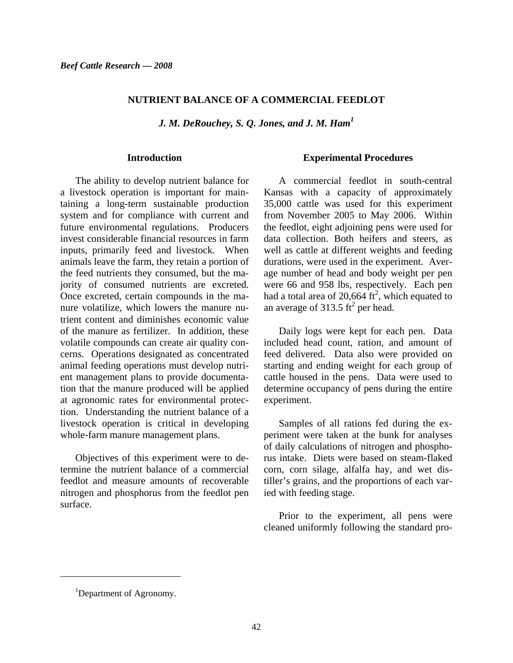#### **NUTRIENT BALANCE OF A COMMERCIAL FEEDLOT**

*J. M. DeRouchey, S. Q. Jones, and J. M. Ham<sup>1</sup>*

#### **Introduction**

The ability to develop nutrient balance for a livestock operation is important for maintaining a long-term sustainable production system and for compliance with current and future environmental regulations. Producers invest considerable financial resources in farm inputs, primarily feed and livestock. When animals leave the farm, they retain a portion of the feed nutrients they consumed, but the majority of consumed nutrients are excreted. Once excreted, certain compounds in the manure volatilize, which lowers the manure nutrient content and diminishes economic value of the manure as fertilizer. In addition, these volatile compounds can create air quality concerns. Operations designated as concentrated animal feeding operations must develop nutrient management plans to provide documentation that the manure produced will be applied at agronomic rates for environmental protection. Understanding the nutrient balance of a livestock operation is critical in developing whole-farm manure management plans.

Objectives of this experiment were to determine the nutrient balance of a commercial feedlot and measure amounts of recoverable nitrogen and phosphorus from the feedlot pen surface.

#### **Experimental Procedures**

A commercial feedlot in south-central Kansas with a capacity of approximately 35,000 cattle was used for this experiment from November 2005 to May 2006. Within the feedlot, eight adjoining pens were used for data collection. Both heifers and steers, as well as cattle at different weights and feeding durations, were used in the experiment. Average number of head and body weight per pen were 66 and 958 lbs, respectively. Each pen had a total area of 20,664  $ft^2$ , which equated to an average of 313.5  $\text{ft}^2$  per head.

Daily logs were kept for each pen. Data included head count, ration, and amount of feed delivered. Data also were provided on starting and ending weight for each group of cattle housed in the pens. Data were used to determine occupancy of pens during the entire experiment.

Samples of all rations fed during the experiment were taken at the bunk for analyses of daily calculations of nitrogen and phosphorus intake. Diets were based on steam-flaked corn, corn silage, alfalfa hay, and wet distiller's grains, and the proportions of each varied with feeding stage.

Prior to the experiment, all pens were cleaned uniformly following the standard pro-

l

<sup>&</sup>lt;sup>1</sup>Department of Agronomy.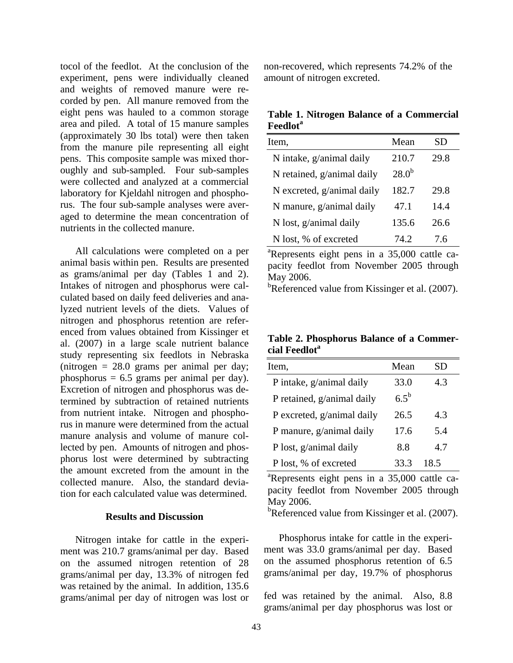tocol of the feedlot. At the conclusion of the experiment, pens were individually cleaned and weights of removed manure were recorded by pen. All manure removed from the eight pens was hauled to a common storage area and piled. A total of 15 manure samples (approximately 30 lbs total) were then taken from the manure pile representing all eight pens. This composite sample was mixed thoroughly and sub-sampled. Four sub-samples were collected and analyzed at a commercial laboratory for Kjeldahl nitrogen and phosphorus. The four sub-sample analyses were averaged to determine the mean concentration of nutrients in the collected manure.

All calculations were completed on a per animal basis within pen. Results are presented as grams/animal per day (Tables 1 and 2). Intakes of nitrogen and phosphorus were calculated based on daily feed deliveries and analyzed nutrient levels of the diets. Values of nitrogen and phosphorus retention are referenced from values obtained from Kissinger et al. (2007) in a large scale nutrient balance study representing six feedlots in Nebraska (nitrogen  $= 28.0$  grams per animal per day; phosphorus = 6.5 grams per animal per day). Excretion of nitrogen and phosphorus was determined by subtraction of retained nutrients from nutrient intake. Nitrogen and phosphorus in manure were determined from the actual manure analysis and volume of manure collected by pen. Amounts of nitrogen and phosphorus lost were determined by subtracting the amount excreted from the amount in the collected manure. Also, the standard deviation for each calculated value was determined.

#### **Results and Discussion**

Nitrogen intake for cattle in the experiment was 210.7 grams/animal per day. Based on the assumed nitrogen retention of 28 grams/animal per day, 13.3% of nitrogen fed was retained by the animal. In addition, 135.6 grams/animal per day of nitrogen was lost or

non-recovered, which represents 74.2% of the amount of nitrogen excreted.

**Table 1. Nitrogen Balance of a Commercial Feedlot<sup>a</sup>**

| Item,                      | Mean       | SD   |
|----------------------------|------------|------|
| N intake, g/animal daily   | 210.7      | 29.8 |
| N retained, g/animal daily | $28.0^{b}$ |      |
| N excreted, g/animal daily | 182.7      | 29.8 |
| N manure, g/animal daily   | 47.1       | 14.4 |
| N lost, g/animal daily     | 135.6      | 26.6 |
| N lost, % of excreted      | 74.2.      | 7.6  |

a Represents eight pens in a 35,000 cattle capacity feedlot from November 2005 through May 2006.

<sup>b</sup>Referenced value from Kissinger et al. (2007).

**Table 2. Phosphorus Balance of a Commer**cial Feedlot<sup>a</sup>

| Item,                      | Mean      | SD   |  |
|----------------------------|-----------|------|--|
| P intake, g/animal daily   | 33.0      | 43   |  |
| P retained, g/animal daily | $6.5^{b}$ |      |  |
| P excreted, g/animal daily | 26.5      | 4.3  |  |
| P manure, g/animal daily   | 17.6      | 5.4  |  |
| P lost, g/animal daily     | 8.8       | 4.7  |  |
| P lost, % of excreted      | 33.3      | 18.5 |  |

<sup>a</sup>Represents eight pens in a 35,000 cattle capacity feedlot from November 2005 through May 2006.

<sup>b</sup>Referenced value from Kissinger et al. (2007).

Phosphorus intake for cattle in the experiment was 33.0 grams/animal per day. Based on the assumed phosphorus retention of 6.5 grams/animal per day, 19.7% of phosphorus

fed was retained by the animal. Also, 8.8 grams/animal per day phosphorus was lost or